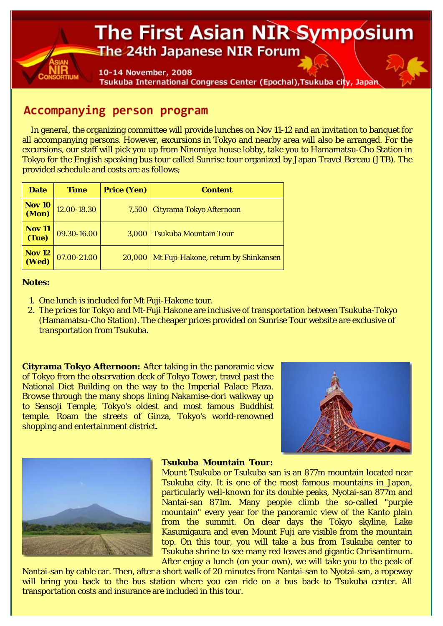## The First Asian NIR Symposium The 24th Japanese NIR Forum

10-14 November, 2008 Tsukuba International Congress Center (Epochal), Tsukuba city, Japan

## Accompanying person program

In general, the organizing committee will provide lunches on Nov 11-12 and an invitation to banquet for all accompanying persons. However, excursions in Tokyo and nearby area will also be arranged. For the excursions, our staff will pick you up from Ninomiya house lobby, take you to Hamamatsu-Cho Station in Tokyo for the English speaking bus tour called Sunrise tour organized by Japan Travel Bereau (JTB). The provided schedule and costs are as follows;

| <b>Date</b>                   | Time        | <b>Price (Yen)</b> | <b>Content</b>                              |
|-------------------------------|-------------|--------------------|---------------------------------------------|
| <b>Nov 10</b><br><b>(Mon)</b> | 12.00-18.30 |                    | 7,500   Cityrama Tokyo Afternoon            |
| <b>Nov 11</b><br>(Tue)        | 09.30-16.00 |                    | 3,000 Tsukuba Mountain Tour                 |
| Nov 12<br>(Wed)               | 07.00-21.00 |                    | 20,000 Mt Fuji-Hakone, return by Shinkansen |

## **Notes:**

- 1. One lunch is included for Mt Fuji-Hakone tour.
- The prices for Tokyo and Mt-Fuji Hakone are inclusive of transportation between Tsukuba-Tokyo 2. (Hamamatsu-Cho Station). The cheaper prices provided on Sunrise Tour website are exclusive of transportation from Tsukuba.

**Cityrama Tokyo Afternoon:** After taking in the panoramic view of Tokyo from the observation deck of Tokyo Tower, travel past the National Diet Building on the way to the Imperial Palace Plaza. Browse through the many shops lining Nakamise-dori walkway up to Sensoji Temple, Tokyo's oldest and most famous Buddhist temple. Roam the streets of Ginza, Tokyo's world-renowned shopping and entertainment district.





## **Tsukuba Mountain Tour:**

Mount Tsukuba or Tsukuba san is an 877m mountain located near Tsukuba city. It is one of the most famous mountains in Japan, particularly well-known for its double peaks, Nyotai-san 877m and Nantai-san 871m. Many people climb the so-called "purple mountain" every year for the panoramic view of the Kanto plain from the summit. On clear days the Tokyo skyline, Lake Kasumigaura and even Mount Fuji are visible from the mountain top. On this tour, you will take a bus from Tsukuba center to Tsukuba shrine to see many red leaves and gigantic Chrisantimum. After enjoy a lunch (on your own), we will take you to the peak of

Nantai-san by cable car. Then, after a short walk of 20 minutes from Nantai-san to Nyotai-san, a ropeway will bring you back to the bus station where you can ride on a bus back to Tsukuba center. All transportation costs and insurance are included in this tour.